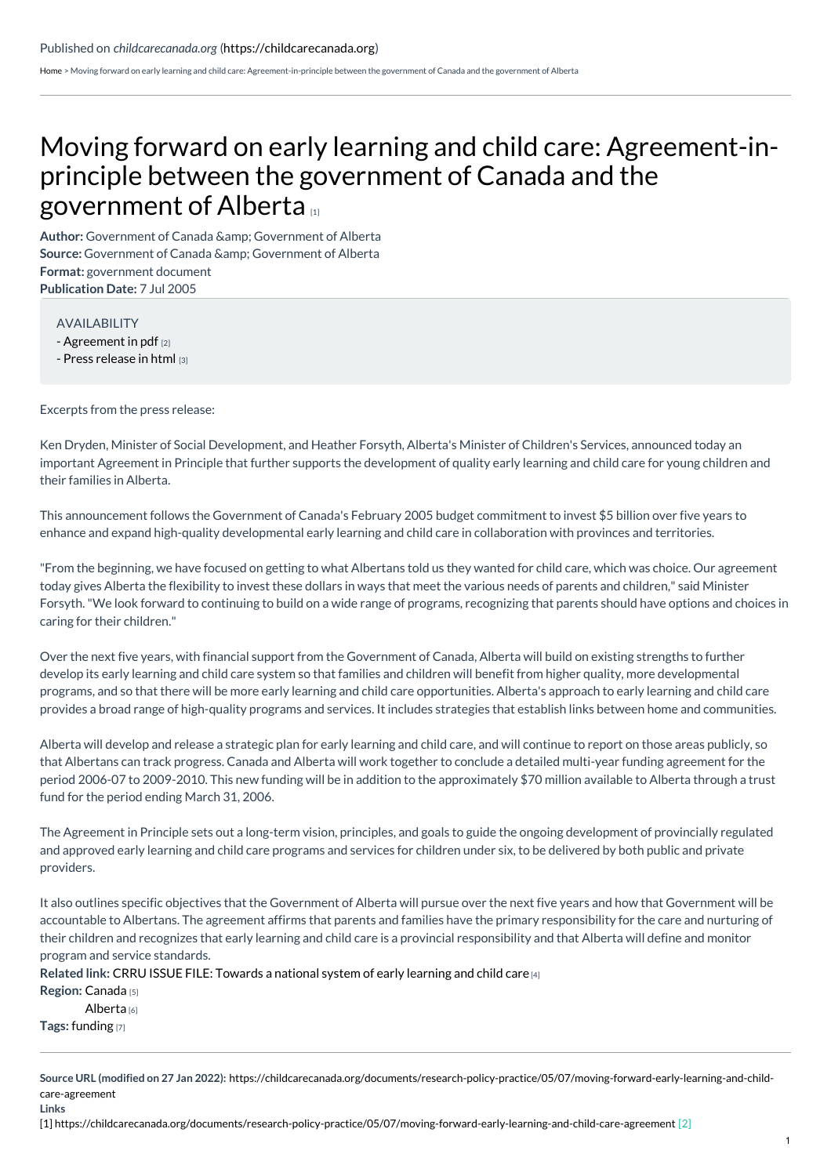[Home](https://childcarecanada.org/) > Moving forward on early learning and child care: Agreement-in-principle between the government of Canada and the government of Alberta

## Moving forward on early learning and child care: [Agreement-in](https://childcarecanada.org/documents/research-policy-practice/05/07/moving-forward-early-learning-and-child-care-agreement)principle between the government of Canada and the government of Alberta [1]

Author: Government of Canada & amp; Government of Alberta Source: Government of Canada & amp; Government of Alberta **Format:** government document **Publication Date:** 7 Jul 2005

AVAILABILITY

- [Agreement](http://www.sdc.gc.ca/en/cs/comm/sd/news/agreements_principle/PCO_Alberta.pdf) in pdf [2]

- Press [release](http://www.sdc.gc.ca/en/cs/comm/sd/news/2005/050707.shtml) in html [3]

Excerpts from the press release:

Ken Dryden, Minister of Social Development, and Heather Forsyth, Alberta's Minister of Children's Services, announced today an important Agreement in Principle that further supports the development of quality early learning and child care for young children and their families in Alberta.

This announcement follows the Government of Canada's February 2005 budget commitment to invest \$5 billion over five years to enhance and expand high-quality developmental early learning and child care in collaboration with provinces and territories.

"From the beginning, we have focused on getting to what Albertans told us they wanted for child care, which was choice. Our agreement today gives Alberta the flexibility to invest these dollars in ways that meet the various needs of parents and children," said Minister Forsyth."We look forward to continuing to build on a wide range of programs, recognizing that parents should have options and choices in caring for their children."

Over the next five years, with financial support from the Government of Canada, Alberta will build on existing strengths to further develop its early learning and child care system so that families and children will benefit from higher quality, more developmental programs, and so that there will be more early learning and child care opportunities. Alberta's approach to early learning and child care provides a broad range of high-quality programs and services. It includes strategies that establish links between home and communities.

Alberta will develop and release a strategic plan for early learning and child care, and will continue to report on those areas publicly, so that Albertans can track progress. Canada and Alberta will work together to conclude a detailed multi-year funding agreement for the period 2006-07 to 2009-2010. This new funding will be in addition to the approximately \$70 million available to Alberta through a trust fund for the period ending March 31, 2006.

The Agreement in Principle sets out a long-term vision, principles, and goals to guide the ongoing development of provincially regulated and approved early learning and child care programs and services for children under six, to be delivered by both public and private providers.

It also outlines specific objectives that the Government of Alberta will pursue over the next five years and how that Government will be accountable to Albertans. The agreement affirms that parents and families have the primary responsibility for the care and nurturing of their children and recognizes that early learning and child care is a provincial responsibility and that Alberta will define and monitor program and service standards.

**Related link:** CRRU ISSUE FILE: [Towards](https://childcarecanada.org/res/issues/towardsanationalsystemofearlylearningandchildcare.htm) a national system of early learning and child care[4]

**Region:** [Canada](https://childcarecanada.org/taxonomy/term/7864) [5]

[Alberta](https://childcarecanada.org/taxonomy/term/7859) [6] **Tags:** [funding](https://childcarecanada.org/category/tags/funding) [7]

**Source URL (modified on 27 Jan 2022):** [https://childcarecanada.org/documents/research-policy-practice/05/07/moving-forward-early-learning-and-child](https://childcarecanada.org/documents/research-policy-practice/05/07/moving-forward-early-learning-and-child-care-agreement)care-agreement

**Links**

[1] <https://childcarecanada.org/documents/research-policy-practice/05/07/moving-forward-early-learning-and-child-care-agreement> [2]